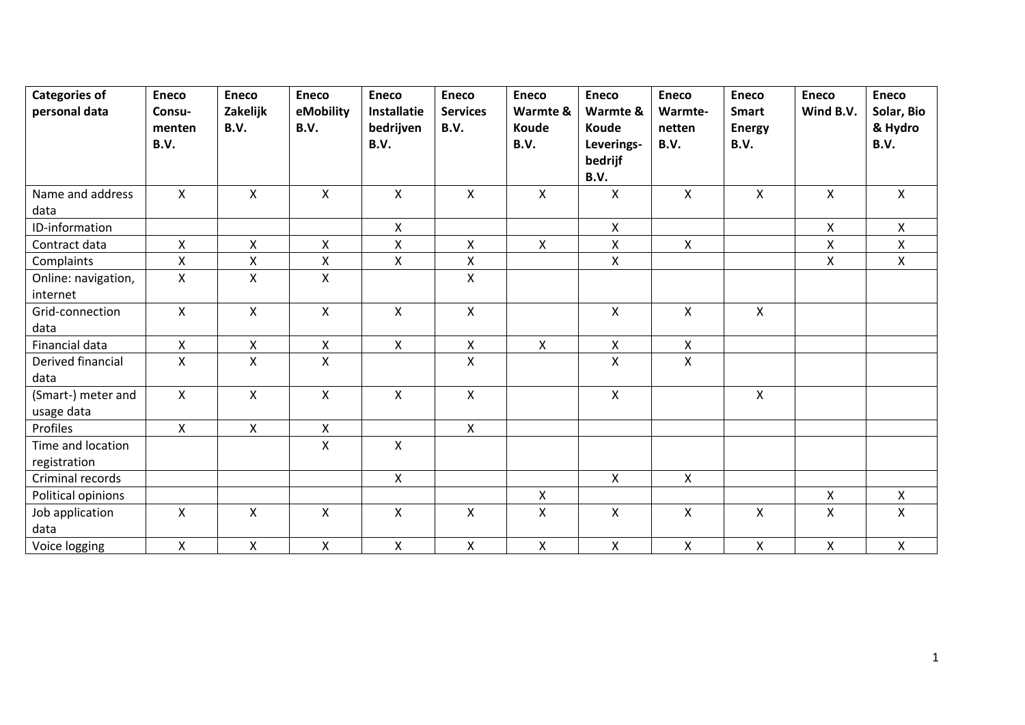| <b>Categories of</b><br>personal data | <b>Eneco</b><br>Consu-    | <b>Eneco</b><br>Zakelijk  | <b>Eneco</b><br>eMobility | <b>Eneco</b><br><b>Installatie</b> | <b>Eneco</b><br><b>Services</b> | <b>Eneco</b><br>Warmte & | <b>Eneco</b><br>Warmte &               | <b>Eneco</b><br>Warmte- | <b>Eneco</b><br><b>Smart</b> | <b>Eneco</b><br>Wind B.V. | <b>Eneco</b><br>Solar, Bio |
|---------------------------------------|---------------------------|---------------------------|---------------------------|------------------------------------|---------------------------------|--------------------------|----------------------------------------|-------------------------|------------------------------|---------------------------|----------------------------|
|                                       | menten<br>B.V.            | B.V.                      | B.V.                      | bedrijven<br>B.V.                  | B.V.                            | Koude<br>B.V.            | Koude<br>Leverings-<br>bedrijf<br>B.V. | netten<br>B.V.          | <b>Energy</b><br>B.V.        |                           | & Hydro<br>B.V.            |
| Name and address<br>data              | $\mathsf{X}$              | $\boldsymbol{\mathsf{X}}$ | $\mathsf{X}$              | $\mathsf{X}$                       | $\mathsf{X}$                    | X                        | $\pmb{\mathsf{X}}$                     | $\mathsf{X}$            | $\mathsf{X}$                 | $\mathsf{X}$              | $\mathsf{X}$               |
| ID-information                        |                           |                           |                           | $\mathsf{X}$                       |                                 |                          | X                                      |                         |                              | X                         | $\mathsf{X}$               |
| Contract data                         | $\mathsf{X}$              | $\mathsf{x}$              | $\pmb{\times}$            | $\pmb{\times}$                     | $\pmb{\mathsf{X}}$              | X                        | Χ                                      | X                       |                              | Χ                         | X                          |
| Complaints                            | $\pmb{\mathsf{X}}$        | $\mathsf X$               | $\pmb{\mathsf{X}}$        | X                                  | $\pmb{\mathsf{X}}$              |                          | $\pmb{\mathsf{X}}$                     |                         |                              | X                         | $\mathsf{X}$               |
| Online: navigation,<br>internet       | $\mathsf{X}$              | $\mathsf{X}$              | $\pmb{\times}$            |                                    | $\pmb{\mathsf{X}}$              |                          |                                        |                         |                              |                           |                            |
| Grid-connection<br>data               | $\mathsf{X}$              | $\boldsymbol{\mathsf{X}}$ | $\pmb{\times}$            | $\mathsf{X}$                       | $\pmb{\mathsf{X}}$              |                          | Χ                                      | X                       | $\mathsf{X}$                 |                           |                            |
| Financial data                        | $\pmb{\times}$            | $\pmb{\mathsf{X}}$        | $\pmb{\mathsf{X}}$        | $\mathsf{X}$                       | $\mathsf{x}$                    | $\mathsf{X}$             | X                                      | X                       |                              |                           |                            |
| Derived financial<br>data             | $\pmb{\times}$            | $\pmb{\chi}$              | $\pmb{\times}$            |                                    | X                               |                          | Χ                                      | Χ                       |                              |                           |                            |
| (Smart-) meter and<br>usage data      | $\mathsf{X}$              | $\boldsymbol{\mathsf{X}}$ | $\pmb{\times}$            | $\mathsf{x}$                       | $\pmb{\mathsf{X}}$              |                          | Χ                                      |                         | $\pmb{\times}$               |                           |                            |
| Profiles                              | $\mathsf{X}$              | $\mathsf{X}$              | $\mathsf{X}$              |                                    | $\mathsf{X}$                    |                          |                                        |                         |                              |                           |                            |
| Time and location<br>registration     |                           |                           | $\pmb{\times}$            | $\mathsf{X}$                       |                                 |                          |                                        |                         |                              |                           |                            |
| Criminal records                      |                           |                           |                           | $\mathsf{X}$                       |                                 |                          | X                                      | $\mathsf{X}$            |                              |                           |                            |
| Political opinions                    |                           |                           |                           |                                    |                                 | X                        |                                        |                         |                              | X.                        | $\mathsf{X}$               |
| Job application<br>data               | $\boldsymbol{\mathsf{X}}$ | $\boldsymbol{\mathsf{X}}$ | $\boldsymbol{\mathsf{X}}$ | X                                  | X                               | X                        | X                                      | X                       | X                            | X                         | X                          |
| Voice logging                         | $\mathsf{X}$              | $\mathsf{X}$              | $\pmb{\times}$            | $\mathsf{x}$                       | $\pmb{\mathsf{X}}$              | X                        | X                                      | $\mathsf{x}$            | $\pmb{\times}$               | X                         | $\mathsf{X}$               |